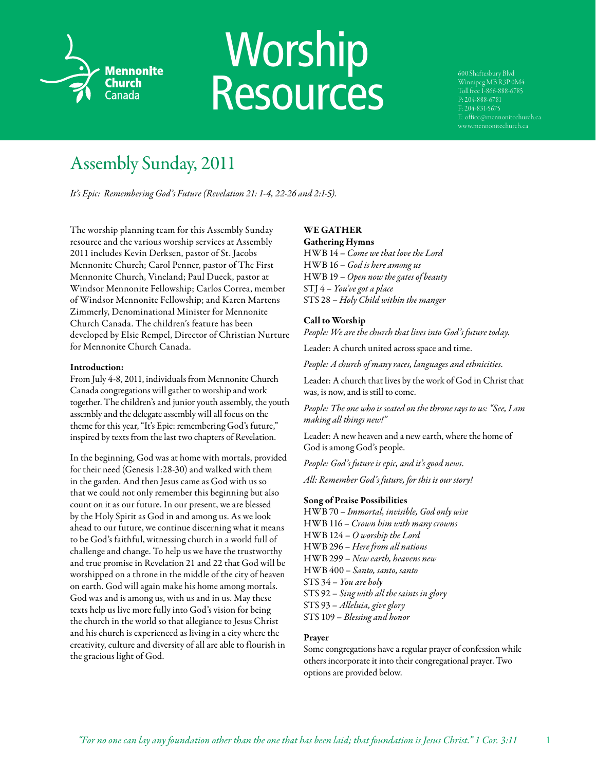

# Worship **Resources**

Winnipeg MB R3P 0M4 Toll free 1-866-888-6785 P: 204-888-6781 www.mennonitechurch.ca

## Assembly Sunday, 2011

*It's Epic: Remembering God's Future (Revelation 21: 1-4, 22-26 and 2:1-5).* 

The worship planning team for this Assembly Sunday resource and the various worship services at Assembly 2011 includes Kevin Derksen, pastor of St. Jacobs Mennonite Church; Carol Penner, pastor of The First Mennonite Church, Vineland; Paul Dueck, pastor at Windsor Mennonite Fellowship; Carlos Correa, member of Windsor Mennonite Fellowship; and Karen Martens Zimmerly, Denominational Minister for Mennonite Church Canada. The children's feature has been developed by Elsie Rempel, Director of Christian Nurture for Mennonite Church Canada.

#### Introduction:

From July 4-8, 2011, individuals from Mennonite Church Canada congregations will gather to worship and work together. The children's and junior youth assembly, the youth assembly and the delegate assembly will all focus on the theme for this year, "It's Epic: remembering God's future," inspired by texts from the last two chapters of Revelation.

In the beginning, God was at home with mortals, provided for their need (Genesis 1:28-30) and walked with them in the garden. And then Jesus came as God with us so that we could not only remember this beginning but also count on it as our future. In our present, we are blessed by the Holy Spirit as God in and among us. As we look ahead to our future, we continue discerning what it means to be God's faithful, witnessing church in a world full of challenge and change. To help us we have the trustworthy and true promise in Revelation 21 and 22 that God will be worshipped on a throne in the middle of the city of heaven on earth. God will again make his home among mortals. God was and is among us, with us and in us. May these texts help us live more fully into God's vision for being the church in the world so that allegiance to Jesus Christ and his church is experienced as living in a city where the creativity, culture and diversity of all are able to flourish in the gracious light of God.

### WE GATHER

Gathering Hymns HWB 14 – *Come we that love the Lord* HWB 16 – *God is here among us* HWB 19 – *Open now the gates of beauty* STJ 4 – *You've got a place* STS 28 – *Holy Child within the manger*

#### Call to Worship

*People: We are the church that lives into God's future today.*

Leader: A church united across space and time.

*People: A church of many races, languages and ethnicities.*

Leader: A church that lives by the work of God in Christ that was, is now, and is still to come.

*People: The one who is seated on the throne says to us: "See, I am making all things new!"*

Leader: A new heaven and a new earth, where the home of God is among God's people.

*People: God's future is epic, and it's good news.*

*All: Remember God's future, for this is our story!*

#### Song of Praise Possibilities

HWB 70 – *Immortal, invisible, God only wise*  HWB 116 – *Crown him with many crowns*  HWB 124 – *O worship the Lord* HWB 296 – *Here from all nations* HWB 299 – *New earth, heavens new* HWB 400 – *Santo, santo, santo* STS 34 – *You are holy* STS 92 – *Sing with all the saints in glory* STS 93 – *Alleluia, give glory* STS 109 – *Blessing and honor*

#### Prayer

Some congregations have a regular prayer of confession while others incorporate it into their congregational prayer. Two options are provided below.

1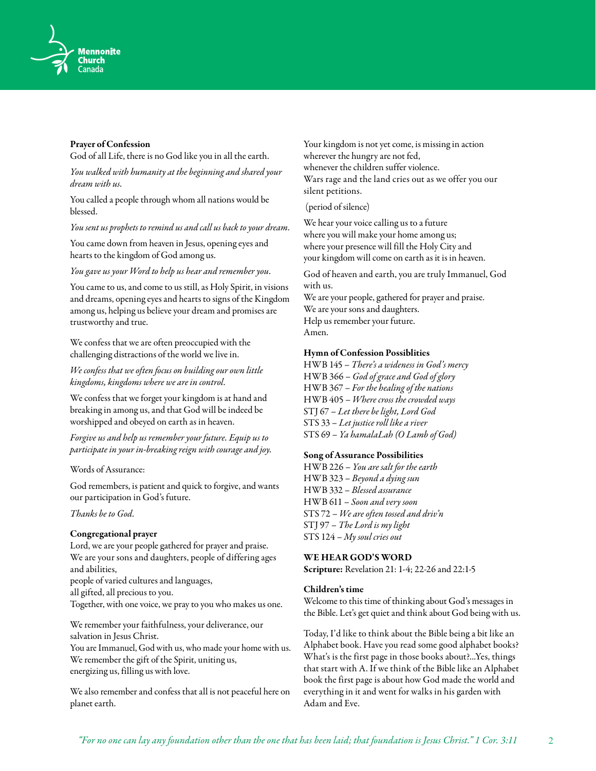

#### Prayer of Confession

God of all Life, there is no God like you in all the earth.

*You walked with humanity at the beginning and shared your dream with us.*

You called a people through whom all nations would be blessed.

*You sent us prophets to remind us and call us back to your dream.*

You came down from heaven in Jesus, opening eyes and hearts to the kingdom of God among us.

*You gave us your Word to help us hear and remember you.*

You came to us, and come to us still, as Holy Spirit, in visions and dreams, opening eyes and hearts to signs of the Kingdom among us, helping us believe your dream and promises are trustworthy and true.

We confess that we are often preoccupied with the challenging distractions of the world we live in.

*We confess that we often focus on building our own little kingdoms, kingdoms where we are in control.*

We confess that we forget your kingdom is at hand and breaking in among us, and that God will be indeed be worshipped and obeyed on earth as in heaven.

*Forgive us and help us remember your future. Equip us to participate in your in-breaking reign with courage and joy.* 

Words of Assurance:

God remembers, is patient and quick to forgive, and wants our participation in God's future.

*Thanks be to God.*

#### Congregational prayer

Lord, we are your people gathered for prayer and praise. We are your sons and daughters, people of differing ages and abilities,

people of varied cultures and languages,

all gifted, all precious to you.

Together, with one voice, we pray to you who makes us one.

We remember your faithfulness, your deliverance, our salvation in Jesus Christ.

You are Immanuel, God with us, who made your home with us. We remember the gift of the Spirit, uniting us, energizing us, filling us with love.

We also remember and confess that all is not peaceful here on planet earth.

Your kingdom is not yet come, is missing in action wherever the hungry are not fed, whenever the children suffer violence. Wars rage and the land cries out as we offer you our silent petitions.

(period of silence)

We hear your voice calling us to a future where you will make your home among us; where your presence will fill the Holy City and your kingdom will come on earth as it is in heaven.

God of heaven and earth, you are truly Immanuel, God with us.

We are your people, gathered for prayer and praise. We are your sons and daughters. Help us remember your future. Amen.

#### Hymn of Confession Possiblities

HWB 145 – *There's a wideness in God's mercy* HWB 366 – *God of grace and God of glory* HWB 367 – *For the healing of the nations* HWB 405 – *Where cross the crowded ways* STJ 67 – *Let there be light, Lord God* STS 33 – *Let justice roll like a river* STS 69 – *Ya hamalaLah (O Lamb of God)*

#### Song of Assurance Possibilities

HWB 226 – *You are salt for the earth* HWB 323 – *Beyond a dying sun* HWB 332 – *Blessed assurance* HWB 611 – *Soon and very soon* STS 72 – *We are often tossed and driv'n* STJ 97 – *The Lord is my light* STS 124 – *My soul cries out*

#### WE HEAR GOD'S WORD

Scripture: Revelation 21: 1-4; 22-26 and 22:1-5

#### Children's time

Welcome to this time of thinking about God's messages in the Bible. Let's get quiet and think about God being with us.

Today, I'd like to think about the Bible being a bit like an Alphabet book. Have you read some good alphabet books? What's is the first page in those books about?...Yes, things that start with A. If we think of the Bible like an Alphabet book the first page is about how God made the world and everything in it and went for walks in his garden with Adam and Eve.